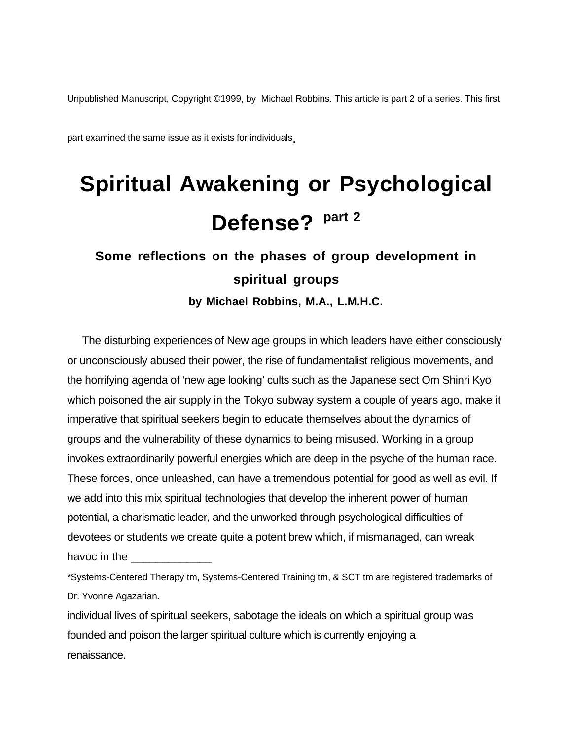Unpublished Manuscript, Copyright ©1999, by Michael Robbins. This article is part 2 of a series. This first

part examined the same issue as it exists for individuals.

# **Spiritual Awakening or Psychological Defense? part 2**

# **Some reflections on the phases of group development in spiritual groups**

**by Michael Robbins, M.A., L.M.H.C.**

The disturbing experiences of New age groups in which leaders have either consciously or unconsciously abused their power, the rise of fundamentalist religious movements, and the horrifying agenda of 'new age looking' cults such as the Japanese sect Om Shinri Kyo which poisoned the air supply in the Tokyo subway system a couple of years ago, make it imperative that spiritual seekers begin to educate themselves about the dynamics of groups and the vulnerability of these dynamics to being misused. Working in a group invokes extraordinarily powerful energies which are deep in the psyche of the human race. These forces, once unleashed, can have a tremendous potential for good as well as evil. If we add into this mix spiritual technologies that develop the inherent power of human potential, a charismatic leader, and the unworked through psychological difficulties of devotees or students we create quite a potent brew which, if mismanaged, can wreak havoc in the

\*Systems-Centered Therapy tm, Systems-Centered Training tm, & SCT tm are registered trademarks of Dr. Yvonne Agazarian.

individual lives of spiritual seekers, sabotage the ideals on which a spiritual group was founded and poison the larger spiritual culture which is currently enjoying a renaissance.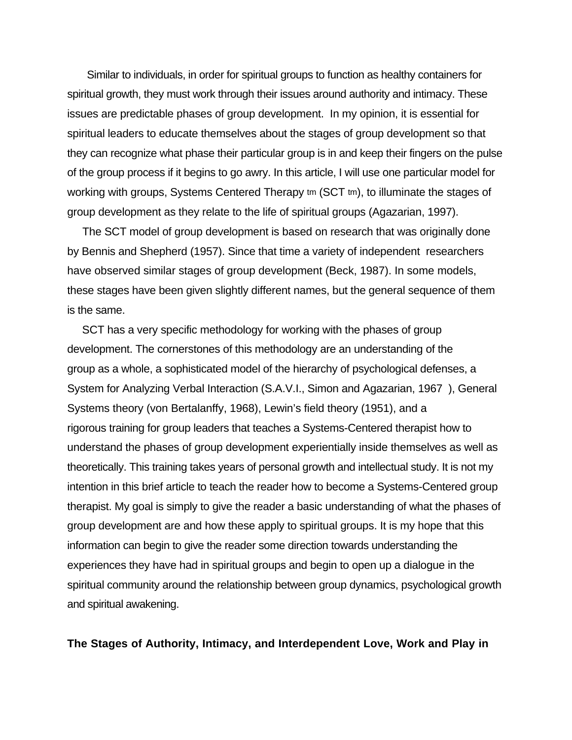Similar to individuals, in order for spiritual groups to function as healthy containers for spiritual growth, they must work through their issues around authority and intimacy. These issues are predictable phases of group development. In my opinion, it is essential for spiritual leaders to educate themselves about the stages of group development so that they can recognize what phase their particular group is in and keep their fingers on the pulse of the group process if it begins to go awry. In this article, I will use one particular model for working with groups, Systems Centered Therapy tm (SCT tm), to illuminate the stages of group development as they relate to the life of spiritual groups (Agazarian, 1997).

The SCT model of group development is based on research that was originally done by Bennis and Shepherd (1957). Since that time a variety of independent researchers have observed similar stages of group development (Beck, 1987). In some models, these stages have been given slightly different names, but the general sequence of them is the same.

 SCT has a very specific methodology for working with the phases of group development. The cornerstones of this methodology are an understanding of the group as a whole, a sophisticated model of the hierarchy of psychological defenses, a System for Analyzing Verbal Interaction (S.A.V.I., Simon and Agazarian, 1967 ), General Systems theory (von Bertalanffy, 1968), Lewin's field theory (1951), and a rigorous training for group leaders that teaches a Systems-Centered therapist how to understand the phases of group development experientially inside themselves as well as theoretically. This training takes years of personal growth and intellectual study. It is not my intention in this brief article to teach the reader how to become a Systems-Centered group therapist. My goal is simply to give the reader a basic understanding of what the phases of group development are and how these apply to spiritual groups. It is my hope that this information can begin to give the reader some direction towards understanding the experiences they have had in spiritual groups and begin to open up a dialogue in the spiritual community around the relationship between group dynamics, psychological growth and spiritual awakening.

**The Stages of Authority, Intimacy, and Interdependent Love, Work and Play in**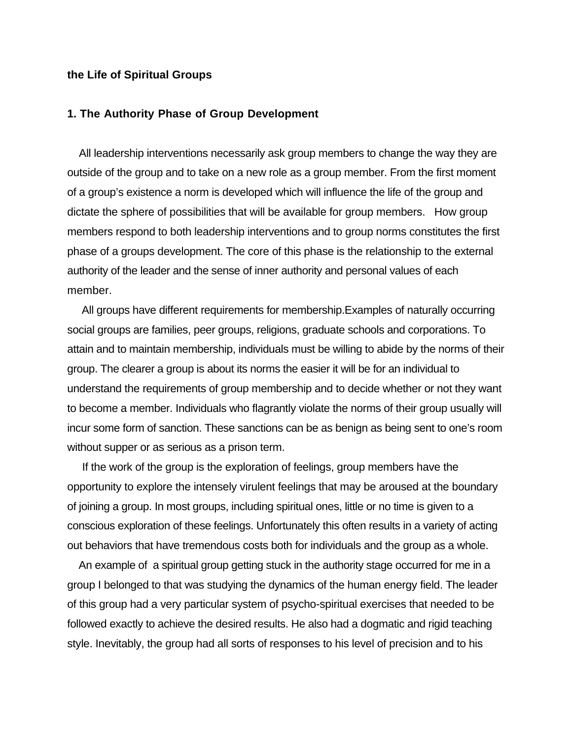#### **the Life of Spiritual Groups**

# **1. The Authority Phase of Group Development**

 All leadership interventions necessarily ask group members to change the way they are outside of the group and to take on a new role as a group member. From the first moment of a group's existence a norm is developed which will influence the life of the group and dictate the sphere of possibilities that will be available for group members. How group members respond to both leadership interventions and to group norms constitutes the first phase of a groups development. The core of this phase is the relationship to the external authority of the leader and the sense of inner authority and personal values of each member.

 All groups have different requirements for membership.Examples of naturally occurring social groups are families, peer groups, religions, graduate schools and corporations. To attain and to maintain membership, individuals must be willing to abide by the norms of their group. The clearer a group is about its norms the easier it will be for an individual to understand the requirements of group membership and to decide whether or not they want to become a member. Individuals who flagrantly violate the norms of their group usually will incur some form of sanction. These sanctions can be as benign as being sent to one's room without supper or as serious as a prison term.

 If the work of the group is the exploration of feelings, group members have the opportunity to explore the intensely virulent feelings that may be aroused at the boundary of joining a group. In most groups, including spiritual ones, little or no time is given to a conscious exploration of these feelings. Unfortunately this often results in a variety of acting out behaviors that have tremendous costs both for individuals and the group as a whole.

 An example of a spiritual group getting stuck in the authority stage occurred for me in a group I belonged to that was studying the dynamics of the human energy field. The leader of this group had a very particular system of psycho-spiritual exercises that needed to be followed exactly to achieve the desired results. He also had a dogmatic and rigid teaching style. Inevitably, the group had all sorts of responses to his level of precision and to his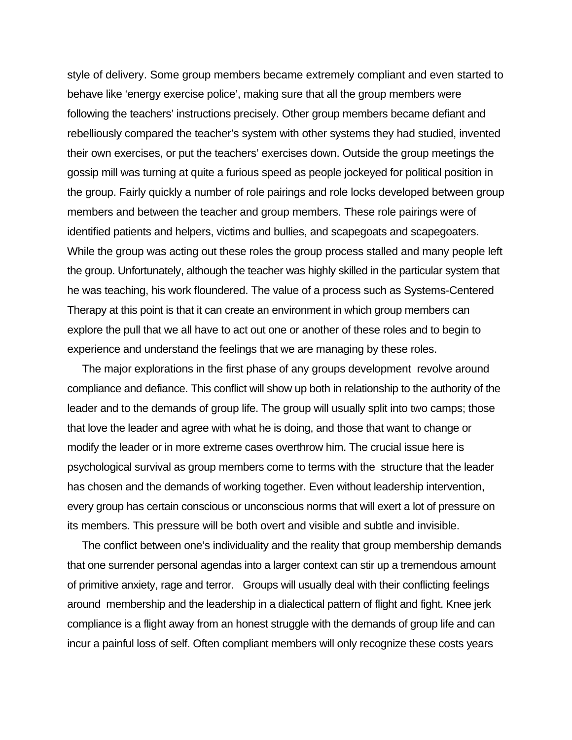style of delivery. Some group members became extremely compliant and even started to behave like 'energy exercise police', making sure that all the group members were following the teachers' instructions precisely. Other group members became defiant and rebelliously compared the teacher's system with other systems they had studied, invented their own exercises, or put the teachers' exercises down. Outside the group meetings the gossip mill was turning at quite a furious speed as people jockeyed for political position in the group. Fairly quickly a number of role pairings and role locks developed between group members and between the teacher and group members. These role pairings were of identified patients and helpers, victims and bullies, and scapegoats and scapegoaters. While the group was acting out these roles the group process stalled and many people left the group. Unfortunately, although the teacher was highly skilled in the particular system that he was teaching, his work floundered. The value of a process such as Systems-Centered Therapy at this point is that it can create an environment in which group members can explore the pull that we all have to act out one or another of these roles and to begin to experience and understand the feelings that we are managing by these roles.

 The major explorations in the first phase of any groups development revolve around compliance and defiance. This conflict will show up both in relationship to the authority of the leader and to the demands of group life. The group will usually split into two camps; those that love the leader and agree with what he is doing, and those that want to change or modify the leader or in more extreme cases overthrow him. The crucial issue here is psychological survival as group members come to terms with the structure that the leader has chosen and the demands of working together. Even without leadership intervention, every group has certain conscious or unconscious norms that will exert a lot of pressure on its members. This pressure will be both overt and visible and subtle and invisible.

 The conflict between one's individuality and the reality that group membership demands that one surrender personal agendas into a larger context can stir up a tremendous amount of primitive anxiety, rage and terror. Groups will usually deal with their conflicting feelings around membership and the leadership in a dialectical pattern of flight and fight. Knee jerk compliance is a flight away from an honest struggle with the demands of group life and can incur a painful loss of self. Often compliant members will only recognize these costs years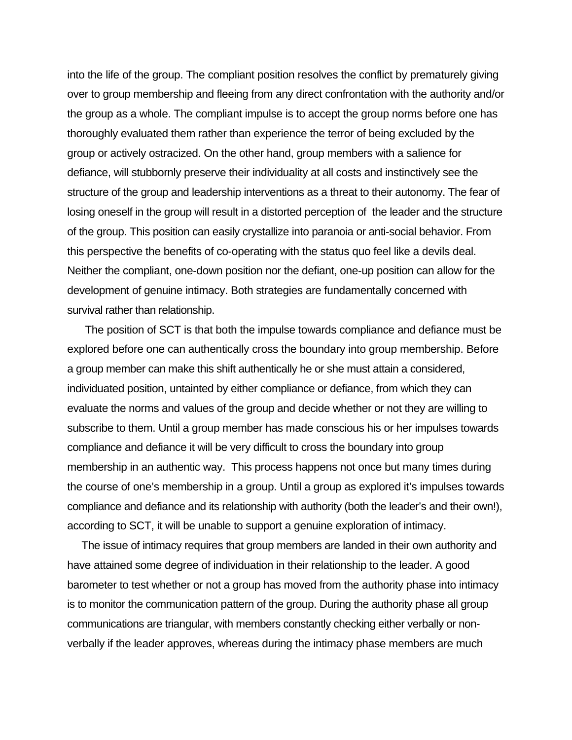into the life of the group. The compliant position resolves the conflict by prematurely giving over to group membership and fleeing from any direct confrontation with the authority and/or the group as a whole. The compliant impulse is to accept the group norms before one has thoroughly evaluated them rather than experience the terror of being excluded by the group or actively ostracized. On the other hand, group members with a salience for defiance, will stubbornly preserve their individuality at all costs and instinctively see the structure of the group and leadership interventions as a threat to their autonomy. The fear of losing oneself in the group will result in a distorted perception of the leader and the structure of the group. This position can easily crystallize into paranoia or anti-social behavior. From this perspective the benefits of co-operating with the status quo feel like a devils deal. Neither the compliant, one-down position nor the defiant, one-up position can allow for the development of genuine intimacy. Both strategies are fundamentally concerned with survival rather than relationship.

 The position of SCT is that both the impulse towards compliance and defiance must be explored before one can authentically cross the boundary into group membership. Before a group member can make this shift authentically he or she must attain a considered, individuated position, untainted by either compliance or defiance, from which they can evaluate the norms and values of the group and decide whether or not they are willing to subscribe to them. Until a group member has made conscious his or her impulses towards compliance and defiance it will be very difficult to cross the boundary into group membership in an authentic way. This process happens not once but many times during the course of one's membership in a group. Until a group as explored it's impulses towards compliance and defiance and its relationship with authority (both the leader's and their own!), according to SCT, it will be unable to support a genuine exploration of intimacy.

 The issue of intimacy requires that group members are landed in their own authority and have attained some degree of individuation in their relationship to the leader. A good barometer to test whether or not a group has moved from the authority phase into intimacy is to monitor the communication pattern of the group. During the authority phase all group communications are triangular, with members constantly checking either verbally or nonverbally if the leader approves, whereas during the intimacy phase members are much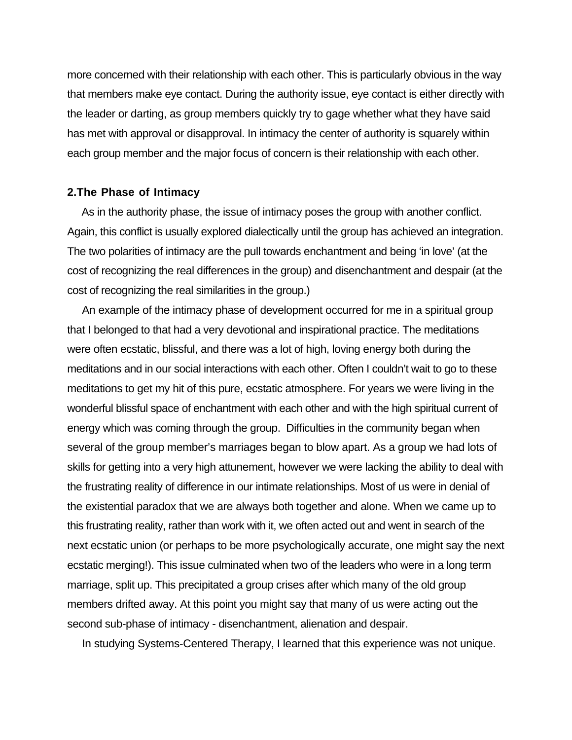more concerned with their relationship with each other. This is particularly obvious in the way that members make eye contact. During the authority issue, eye contact is either directly with the leader or darting, as group members quickly try to gage whether what they have said has met with approval or disapproval. In intimacy the center of authority is squarely within each group member and the major focus of concern is their relationship with each other.

#### **2.The Phase of Intimacy**

 As in the authority phase, the issue of intimacy poses the group with another conflict. Again, this conflict is usually explored dialectically until the group has achieved an integration. The two polarities of intimacy are the pull towards enchantment and being 'in love' (at the cost of recognizing the real differences in the group) and disenchantment and despair (at the cost of recognizing the real similarities in the group.)

 An example of the intimacy phase of development occurred for me in a spiritual group that I belonged to that had a very devotional and inspirational practice. The meditations were often ecstatic, blissful, and there was a lot of high, loving energy both during the meditations and in our social interactions with each other. Often I couldn't wait to go to these meditations to get my hit of this pure, ecstatic atmosphere. For years we were living in the wonderful blissful space of enchantment with each other and with the high spiritual current of energy which was coming through the group. Difficulties in the community began when several of the group member's marriages began to blow apart. As a group we had lots of skills for getting into a very high attunement, however we were lacking the ability to deal with the frustrating reality of difference in our intimate relationships. Most of us were in denial of the existential paradox that we are always both together and alone. When we came up to this frustrating reality, rather than work with it, we often acted out and went in search of the next ecstatic union (or perhaps to be more psychologically accurate, one might say the next ecstatic merging!). This issue culminated when two of the leaders who were in a long term marriage, split up. This precipitated a group crises after which many of the old group members drifted away. At this point you might say that many of us were acting out the second sub-phase of intimacy - disenchantment, alienation and despair.

In studying Systems-Centered Therapy, I learned that this experience was not unique.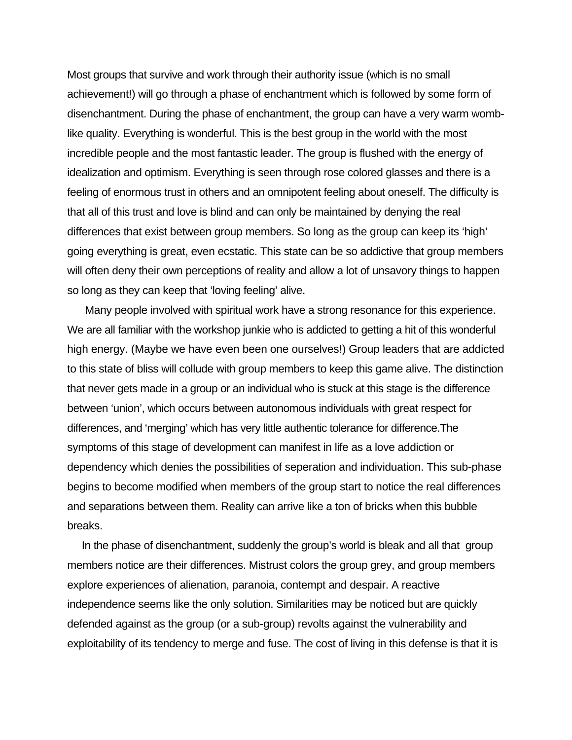Most groups that survive and work through their authority issue (which is no small achievement!) will go through a phase of enchantment which is followed by some form of disenchantment. During the phase of enchantment, the group can have a very warm womblike quality. Everything is wonderful. This is the best group in the world with the most incredible people and the most fantastic leader. The group is flushed with the energy of idealization and optimism. Everything is seen through rose colored glasses and there is a feeling of enormous trust in others and an omnipotent feeling about oneself. The difficulty is that all of this trust and love is blind and can only be maintained by denying the real differences that exist between group members. So long as the group can keep its 'high' going everything is great, even ecstatic. This state can be so addictive that group members will often deny their own perceptions of reality and allow a lot of unsavory things to happen so long as they can keep that 'loving feeling' alive.

 Many people involved with spiritual work have a strong resonance for this experience. We are all familiar with the workshop junkie who is addicted to getting a hit of this wonderful high energy. (Maybe we have even been one ourselves!) Group leaders that are addicted to this state of bliss will collude with group members to keep this game alive. The distinction that never gets made in a group or an individual who is stuck at this stage is the difference between 'union', which occurs between autonomous individuals with great respect for differences, and 'merging' which has very little authentic tolerance for difference.The symptoms of this stage of development can manifest in life as a love addiction or dependency which denies the possibilities of seperation and individuation. This sub-phase begins to become modified when members of the group start to notice the real differences and separations between them. Reality can arrive like a ton of bricks when this bubble breaks.

 In the phase of disenchantment, suddenly the group's world is bleak and all that group members notice are their differences. Mistrust colors the group grey, and group members explore experiences of alienation, paranoia, contempt and despair. A reactive independence seems like the only solution. Similarities may be noticed but are quickly defended against as the group (or a sub-group) revolts against the vulnerability and exploitability of its tendency to merge and fuse. The cost of living in this defense is that it is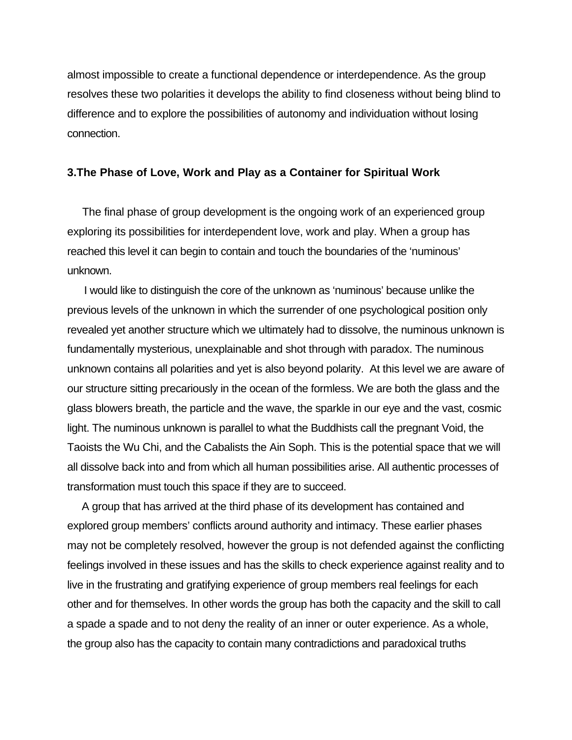almost impossible to create a functional dependence or interdependence. As the group resolves these two polarities it develops the ability to find closeness without being blind to difference and to explore the possibilities of autonomy and individuation without losing connection.

## **3.The Phase of Love, Work and Play as a Container for Spiritual Work**

 The final phase of group development is the ongoing work of an experienced group exploring its possibilities for interdependent love, work and play. When a group has reached this level it can begin to contain and touch the boundaries of the 'numinous' unknown.

 I would like to distinguish the core of the unknown as 'numinous' because unlike the previous levels of the unknown in which the surrender of one psychological position only revealed yet another structure which we ultimately had to dissolve, the numinous unknown is fundamentally mysterious, unexplainable and shot through with paradox. The numinous unknown contains all polarities and yet is also beyond polarity. At this level we are aware of our structure sitting precariously in the ocean of the formless. We are both the glass and the glass blowers breath, the particle and the wave, the sparkle in our eye and the vast, cosmic light. The numinous unknown is parallel to what the Buddhists call the pregnant Void, the Taoists the Wu Chi, and the Cabalists the Ain Soph. This is the potential space that we will all dissolve back into and from which all human possibilities arise. All authentic processes of transformation must touch this space if they are to succeed.

 A group that has arrived at the third phase of its development has contained and explored group members' conflicts around authority and intimacy. These earlier phases may not be completely resolved, however the group is not defended against the conflicting feelings involved in these issues and has the skills to check experience against reality and to live in the frustrating and gratifying experience of group members real feelings for each other and for themselves. In other words the group has both the capacity and the skill to call a spade a spade and to not deny the reality of an inner or outer experience. As a whole, the group also has the capacity to contain many contradictions and paradoxical truths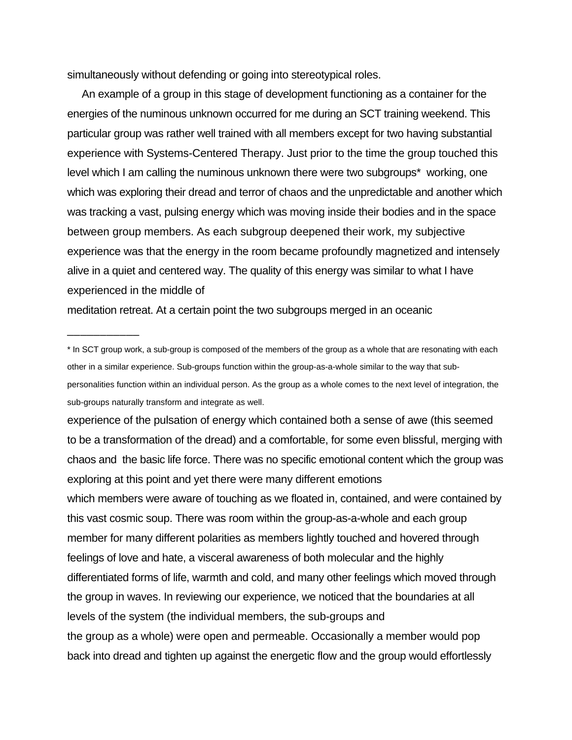simultaneously without defending or going into stereotypical roles.

 An example of a group in this stage of development functioning as a container for the energies of the numinous unknown occurred for me during an SCT training weekend. This particular group was rather well trained with all members except for two having substantial experience with Systems-Centered Therapy. Just prior to the time the group touched this level which I am calling the numinous unknown there were two subgroups\* working, one which was exploring their dread and terror of chaos and the unpredictable and another which was tracking a vast, pulsing energy which was moving inside their bodies and in the space between group members. As each subgroup deepened their work, my subjective experience was that the energy in the room became profoundly magnetized and intensely alive in a quiet and centered way. The quality of this energy was similar to what I have experienced in the middle of

meditation retreat. At a certain point the two subgroups merged in an oceanic

\_\_\_\_\_\_\_\_\_\_\_

experience of the pulsation of energy which contained both a sense of awe (this seemed to be a transformation of the dread) and a comfortable, for some even blissful, merging with chaos and the basic life force. There was no specific emotional content which the group was exploring at this point and yet there were many different emotions which members were aware of touching as we floated in, contained, and were contained by this vast cosmic soup. There was room within the group-as-a-whole and each group member for many different polarities as members lightly touched and hovered through feelings of love and hate, a visceral awareness of both molecular and the highly differentiated forms of life, warmth and cold, and many other feelings which moved through the group in waves. In reviewing our experience, we noticed that the boundaries at all levels of the system (the individual members, the sub-groups and the group as a whole) were open and permeable. Occasionally a member would pop back into dread and tighten up against the energetic flow and the group would effortlessly

<sup>\*</sup> In SCT group work, a sub-group is composed of the members of the group as a whole that are resonating with each other in a similar experience. Sub-groups function within the group-as-a-whole similar to the way that subpersonalities function within an individual person. As the group as a whole comes to the next level of integration, the sub-groups naturally transform and integrate as well.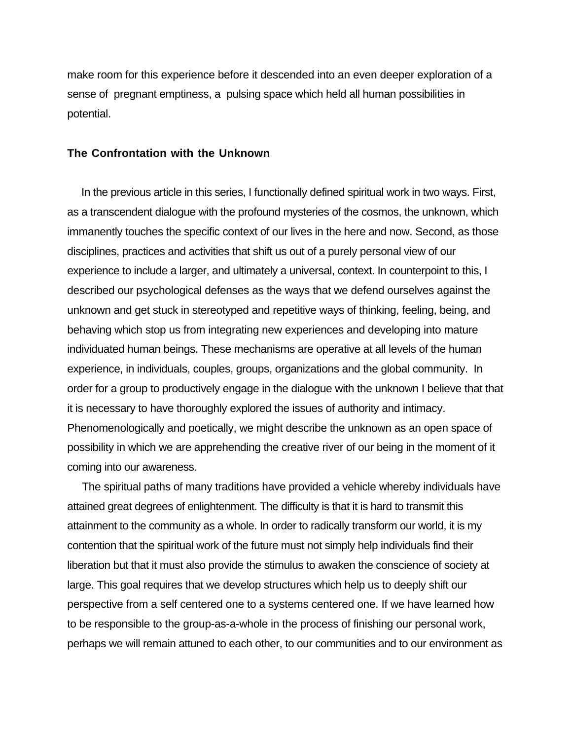make room for this experience before it descended into an even deeper exploration of a sense of pregnant emptiness, a pulsing space which held all human possibilities in potential.

#### **The Confrontation with the Unknown**

 In the previous article in this series, I functionally defined spiritual work in two ways. First, as a transcendent dialogue with the profound mysteries of the cosmos, the unknown, which immanently touches the specific context of our lives in the here and now. Second, as those disciplines, practices and activities that shift us out of a purely personal view of our experience to include a larger, and ultimately a universal, context. In counterpoint to this, I described our psychological defenses as the ways that we defend ourselves against the unknown and get stuck in stereotyped and repetitive ways of thinking, feeling, being, and behaving which stop us from integrating new experiences and developing into mature individuated human beings. These mechanisms are operative at all levels of the human experience, in individuals, couples, groups, organizations and the global community. In order for a group to productively engage in the dialogue with the unknown I believe that that it is necessary to have thoroughly explored the issues of authority and intimacy. Phenomenologically and poetically, we might describe the unknown as an open space of possibility in which we are apprehending the creative river of our being in the moment of it coming into our awareness.

 The spiritual paths of many traditions have provided a vehicle whereby individuals have attained great degrees of enlightenment. The difficulty is that it is hard to transmit this attainment to the community as a whole. In order to radically transform our world, it is my contention that the spiritual work of the future must not simply help individuals find their liberation but that it must also provide the stimulus to awaken the conscience of society at large. This goal requires that we develop structures which help us to deeply shift our perspective from a self centered one to a systems centered one. If we have learned how to be responsible to the group-as-a-whole in the process of finishing our personal work, perhaps we will remain attuned to each other, to our communities and to our environment as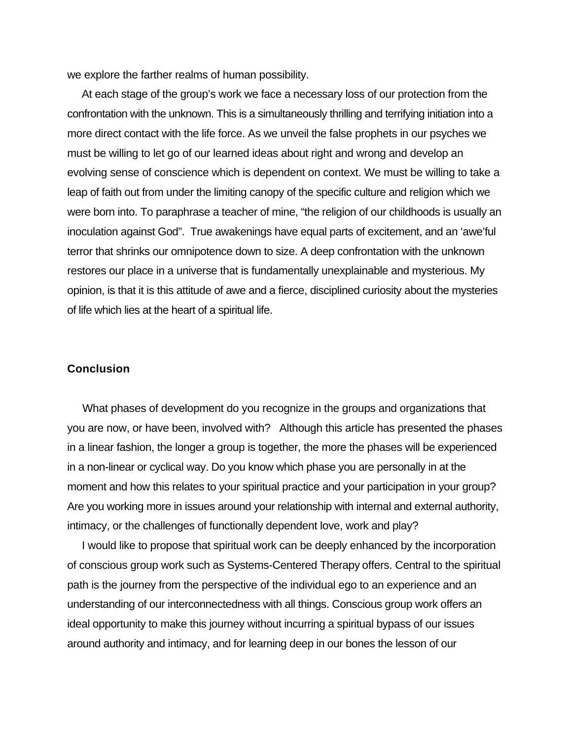we explore the farther realms of human possibility.

 At each stage of the group's work we face a necessary loss of our protection from the confrontation with the unknown. This is a simultaneously thrilling and terrifying initiation into a more direct contact with the life force. As we unveil the false prophets in our psyches we must be willing to let go of our learned ideas about right and wrong and develop an evolving sense of conscience which is dependent on context. We must be willing to take a leap of faith out from under the limiting canopy of the specific culture and religion which we were born into. To paraphrase a teacher of mine, "the religion of our childhoods is usually an inoculation against God". True awakenings have equal parts of excitement, and an 'awe'ful terror that shrinks our omnipotence down to size. A deep confrontation with the unknown restores our place in a universe that is fundamentally unexplainable and mysterious. My opinion, is that it is this attitude of awe and a fierce, disciplined curiosity about the mysteries of life which lies at the heart of a spiritual life.

## **Conclusion**

What phases of development do you recognize in the groups and organizations that you are now, or have been, involved with? Although this article has presented the phases in a linear fashion, the longer a group is together, the more the phases will be experienced in a non-linear or cyclical way. Do you know which phase you are personally in at the moment and how this relates to your spiritual practice and your participation in your group? Are you working more in issues around your relationship with internal and external authority, intimacy, or the challenges of functionally dependent love, work and play?

 I would like to propose that spiritual work can be deeply enhanced by the incorporation of conscious group work such as Systems-Centered Therapy offers. Central to the spiritual path is the journey from the perspective of the individual ego to an experience and an understanding of our interconnectedness with all things. Conscious group work offers an ideal opportunity to make this journey without incurring a spiritual bypass of our issues around authority and intimacy, and for learning deep in our bones the lesson of our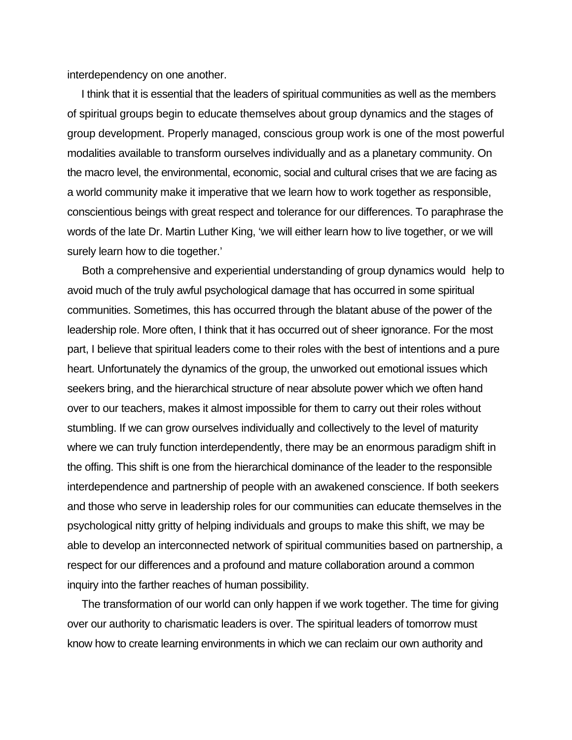interdependency on one another.

 I think that it is essential that the leaders of spiritual communities as well as the members of spiritual groups begin to educate themselves about group dynamics and the stages of group development. Properly managed, conscious group work is one of the most powerful modalities available to transform ourselves individually and as a planetary community. On the macro level, the environmental, economic, social and cultural crises that we are facing as a world community make it imperative that we learn how to work together as responsible, conscientious beings with great respect and tolerance for our differences. To paraphrase the words of the late Dr. Martin Luther King, 'we will either learn how to live together, or we will surely learn how to die together.'

 Both a comprehensive and experiential understanding of group dynamics would help to avoid much of the truly awful psychological damage that has occurred in some spiritual communities. Sometimes, this has occurred through the blatant abuse of the power of the leadership role. More often, I think that it has occurred out of sheer ignorance. For the most part, I believe that spiritual leaders come to their roles with the best of intentions and a pure heart. Unfortunately the dynamics of the group, the unworked out emotional issues which seekers bring, and the hierarchical structure of near absolute power which we often hand over to our teachers, makes it almost impossible for them to carry out their roles without stumbling. If we can grow ourselves individually and collectively to the level of maturity where we can truly function interdependently, there may be an enormous paradigm shift in the offing. This shift is one from the hierarchical dominance of the leader to the responsible interdependence and partnership of people with an awakened conscience. If both seekers and those who serve in leadership roles for our communities can educate themselves in the psychological nitty gritty of helping individuals and groups to make this shift, we may be able to develop an interconnected network of spiritual communities based on partnership, a respect for our differences and a profound and mature collaboration around a common inquiry into the farther reaches of human possibility.

 The transformation of our world can only happen if we work together. The time for giving over our authority to charismatic leaders is over. The spiritual leaders of tomorrow must know how to create learning environments in which we can reclaim our own authority and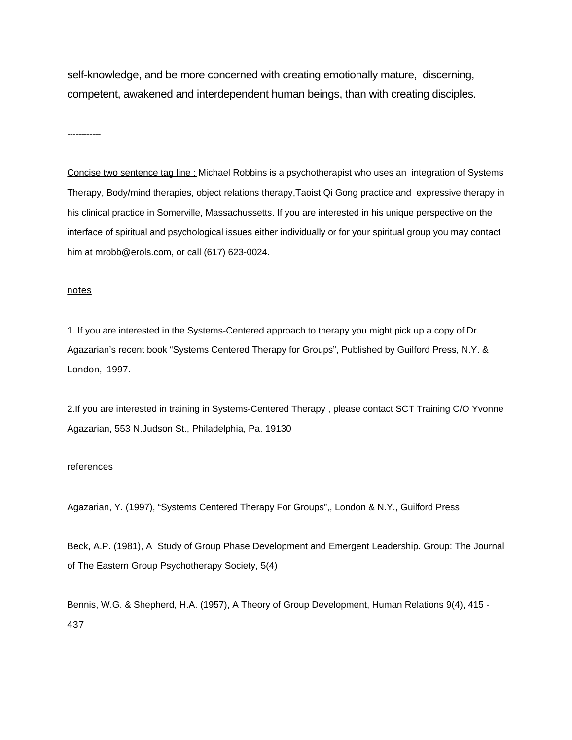self-knowledge, and be more concerned with creating emotionally mature, discerning, competent, awakened and interdependent human beings, than with creating disciples.

------------

Concise two sentence tag line : Michael Robbins is a psychotherapist who uses an integration of Systems Therapy, Body/mind therapies, object relations therapy,Taoist Qi Gong practice and expressive therapy in his clinical practice in Somerville, Massachussetts. If you are interested in his unique perspective on the interface of spiritual and psychological issues either individually or for your spiritual group you may contact him at mrobb@erols.com, or call (617) 623-0024.

#### notes

1. If you are interested in the Systems-Centered approach to therapy you might pick up a copy of Dr. Agazarian's recent book "Systems Centered Therapy for Groups", Published by Guilford Press, N.Y. & London, 1997.

2.If you are interested in training in Systems-Centered Therapy , please contact SCT Training C/O Yvonne Agazarian, 553 N.Judson St., Philadelphia, Pa. 19130

#### references

Agazarian, Y. (1997), "Systems Centered Therapy For Groups",, London & N.Y., Guilford Press

Beck, A.P. (1981), A Study of Group Phase Development and Emergent Leadership. Group: The Journal of The Eastern Group Psychotherapy Society, 5(4)

Bennis, W.G. & Shepherd, H.A. (1957), A Theory of Group Development, Human Relations 9(4), 415 - 437